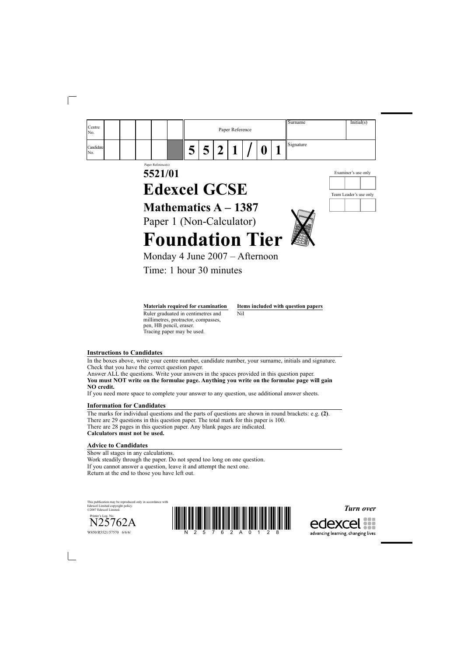# **5521/01 Edexcel GCSE**

**Mathematics A – 1387**

# Paper 1 (Non-Calculator) **Foundation Tier**

Monday 4 June 2007 – Afternoon

Time: 1 hour 30 minutes

**Materials required for examination Items included with question papers**

millimetres, protractor, compasses,

pen, HB pencil, eraser. Tracing paper may be used.

Ruler graduated in centimetres and Nil

**Instructions to Candidates**

In the boxes above, write your centre number, candidate number, your surname, initials and signature. Check that you have the correct question paper.

Answer ALL the questions. Write your answers in the spaces provided in this question paper. **You must NOT write on the formulae page. Anything you write on the formulae page will gain NO credit.** 



If you need more space to complete your answer to any question, use additional answer sheets.

### **Information for Candidates**

The marks for individual questions and the parts of questions are shown in round brackets: e.g. **(2)**. There are 29 questions in this question paper. The total mark for this paper is 100. There are 28 pages in this question paper. Any blank pages are indicated. **Calculators must not be used.**

### **Advice to Candidates**

Show all stages in any calculations. Work steadily through the paper. Do not spend too long on one question. If you cannot answer a question, leave it and attempt the next one. Return at the end to those you have left out.

| Examiner's use only |  |  |  |  |  |
|---------------------|--|--|--|--|--|
|                     |  |  |  |  |  |

Team Leader's use only

This publication may be reproduced only in accordance with Edexcel Limited copyright policy. ©2007 Edexcel Limited.

Printer's Log. No.

W850/R5521/57570 6/6/6/



Turn over<br>**COCXCCL**<br>**advancing learning**, changing lives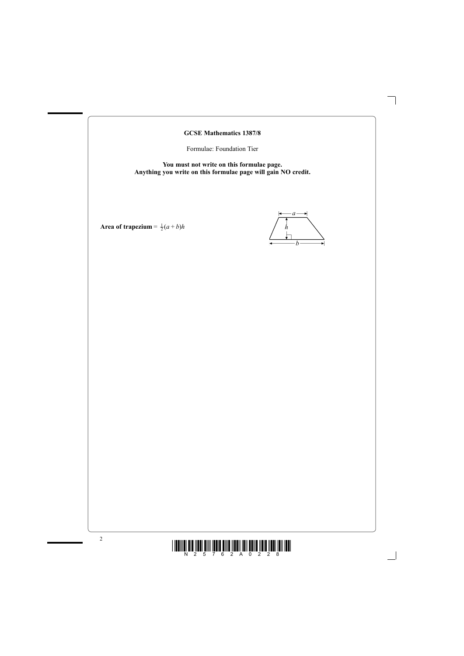

**GCSE Mathematics 1387/8**

Formulae: Foundation Tier

**You must not write on this formulae page. Anything you write on this formulae page will gain NO credit.**



Area of trapezium =  $\frac{1}{2}(a+b)h$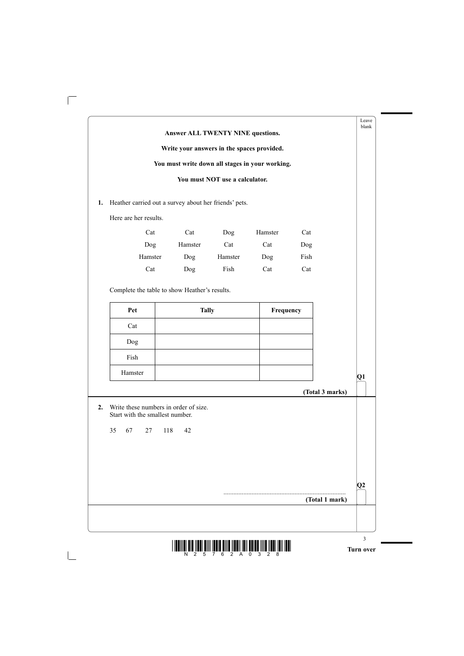

|                                 |                                                       |                                |           |                 | Leave<br>blank |
|---------------------------------|-------------------------------------------------------|--------------------------------|-----------|-----------------|----------------|
|                                 | Answer ALL TWENTY NINE questions.                     |                                |           |                 |                |
|                                 | Write your answers in the spaces provided.            |                                |           |                 |                |
|                                 | You must write down all stages in your working.       |                                |           |                 |                |
|                                 |                                                       | You must NOT use a calculator. |           |                 |                |
| 1.                              | Heather carried out a survey about her friends' pets. |                                |           |                 |                |
| Here are her results.           |                                                       |                                |           |                 |                |
| Cat                             | Cat                                                   | Dog                            | Hamster   | Cat             |                |
| Dog                             | Hamster                                               | Cat                            | Cat       | Dog             |                |
| Hamster                         | Dog                                                   | Hamster                        | Dog       | Fish            |                |
| Cat                             | Dog                                                   | Fish                           | Cat       | Cat             |                |
|                                 | Complete the table to show Heather's results.         |                                |           |                 |                |
| Pet                             |                                                       |                                |           |                 |                |
| Cat                             | <b>Tally</b>                                          |                                | Frequency |                 |                |
| Dog                             |                                                       |                                |           |                 |                |
| Fish                            |                                                       |                                |           |                 |                |
| Hamster                         |                                                       |                                |           |                 | Q1             |
|                                 |                                                       |                                |           | (Total 3 marks) |                |
| 2.                              | Write these numbers in order of size.                 |                                |           |                 |                |
| Start with the smallest number. |                                                       |                                |           |                 |                |
| 35<br>67<br>27                  | 118<br>42                                             |                                |           |                 |                |
|                                 |                                                       |                                |           |                 |                |

 $\overline{\Box}$ 

**Q2**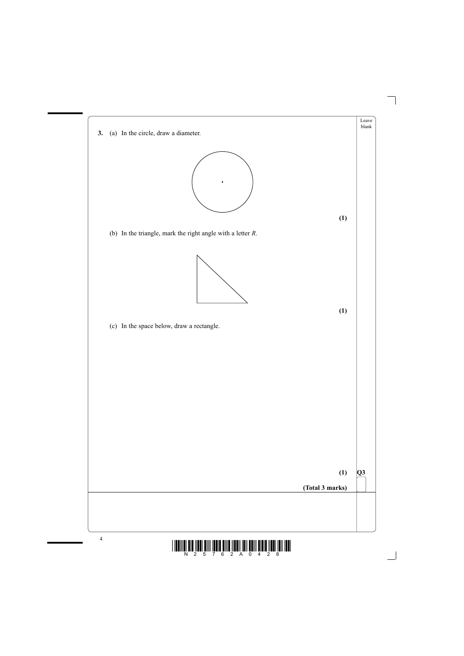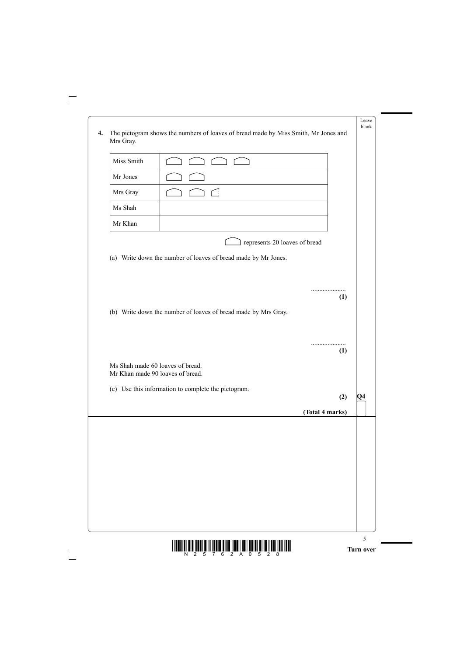

| Mr Jones |                                                                      |        |
|----------|----------------------------------------------------------------------|--------|
| Mrs Gray |                                                                      |        |
| Ms Shah  |                                                                      |        |
| Mr Khan  |                                                                      |        |
|          | represents 20 loaves of bread                                        |        |
|          | (a) Write down the number of loaves of bread made by Mr Jones.       |        |
|          |                                                                      |        |
|          | .<br>(1)                                                             |        |
|          | Ms Shah made 60 loaves of bread.<br>Mr Khan made 90 loaves of bread. |        |
|          | (c) Use this information to complete the pictogram.<br>(2)           | $ Q_4$ |
|          | (Total 4 marks)                                                      |        |

 $\overline{\Box}$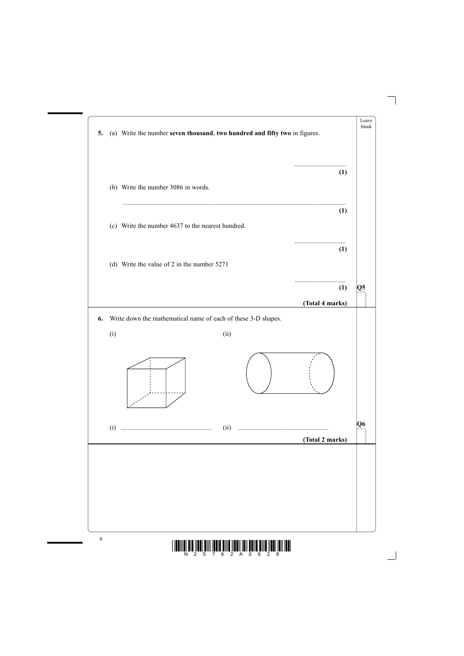

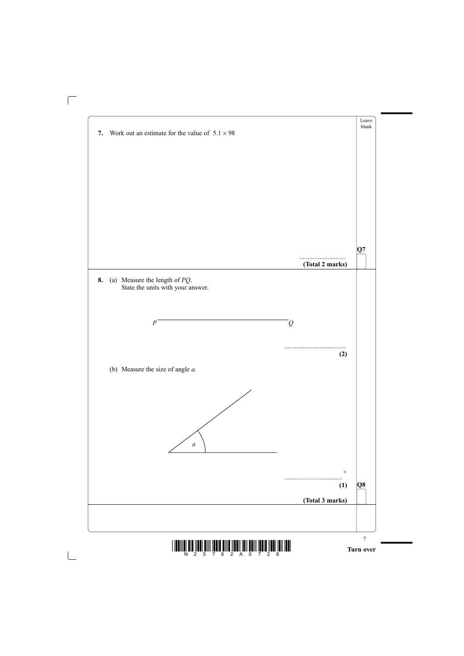

 $\sqrt{\phantom{a}}$ 

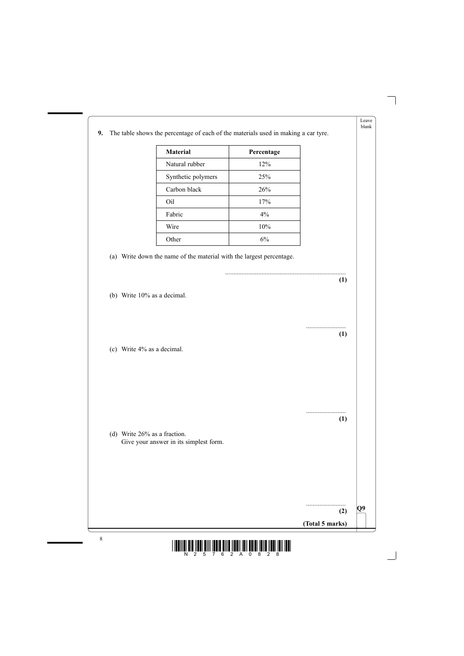Leave blank

|                                                                                                     | <b>Material</b>    | Percentage |   |
|-----------------------------------------------------------------------------------------------------|--------------------|------------|---|
|                                                                                                     | Natural rubber     | 12%        |   |
|                                                                                                     | Synthetic polymers | 25%        |   |
|                                                                                                     | Carbon black       | 26%        |   |
|                                                                                                     | Oil                | 17%        |   |
|                                                                                                     | Fabric             | 4%         |   |
|                                                                                                     | Wire               | 10%        |   |
|                                                                                                     | Other              | $6\%$      |   |
| (a) Write down the name of the material with the largest percentage.<br>(b) Write 10% as a decimal. |                    |            |   |
|                                                                                                     |                    |            | . |
| (c) Write 4% as a decimal.                                                                          |                    |            |   |

the control of the control of the con-

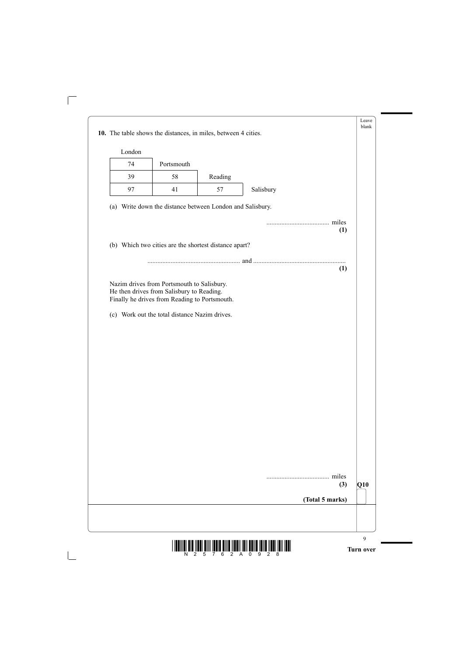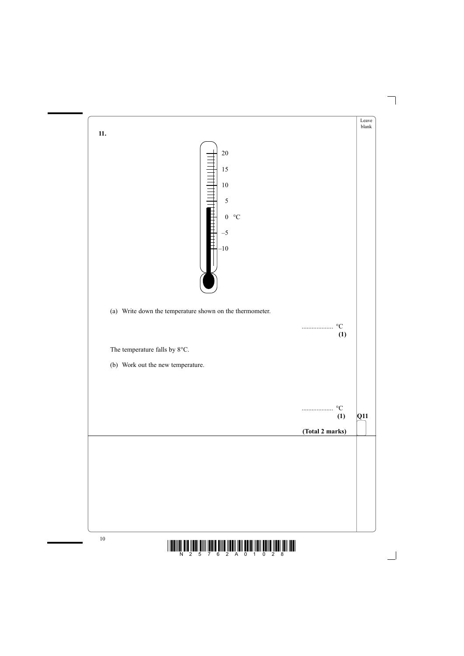

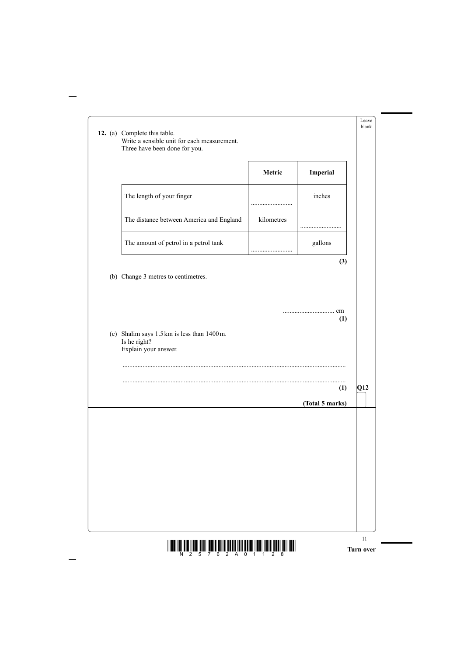

|                                                                                  | Metric     | Imperial  |     |
|----------------------------------------------------------------------------------|------------|-----------|-----|
| The length of your finger                                                        |            | inches    |     |
| The distance between America and England                                         | kilometres |           |     |
| The amount of petrol in a petrol tank                                            |            | gallons   |     |
| (c) Shalim says $1.5 \text{ km}$ is less than $1400 \text{ m}$ .<br>Is he right? |            | cm<br>(1) |     |
| Explain your answer.                                                             |            |           |     |
|                                                                                  |            |           |     |
|                                                                                  |            | (1)       | Q12 |

 $\overline{\Box}$ 

 $\overline{1}$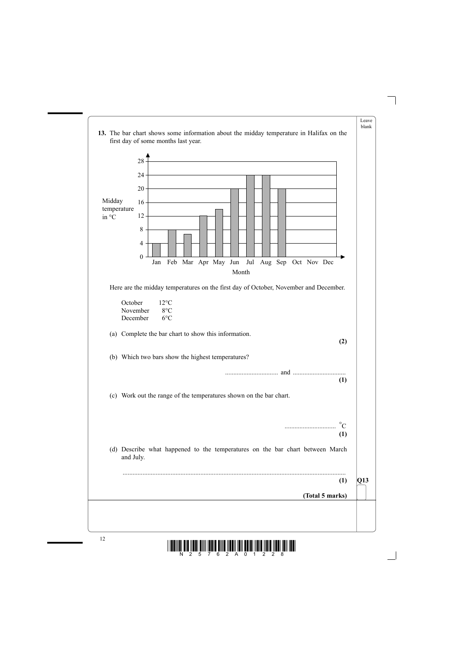



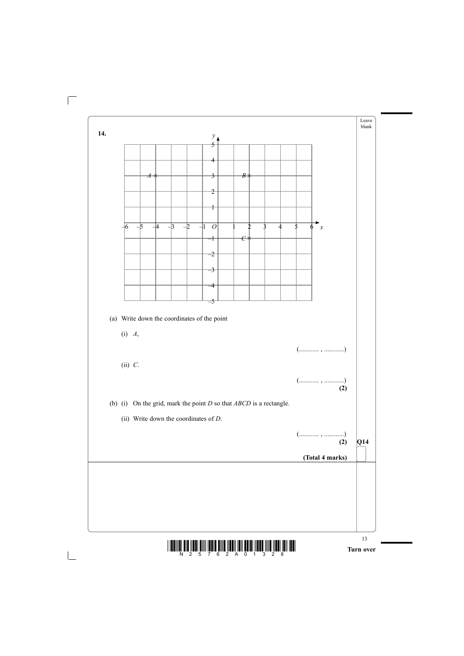



 $\sqrt{\phantom{a}}$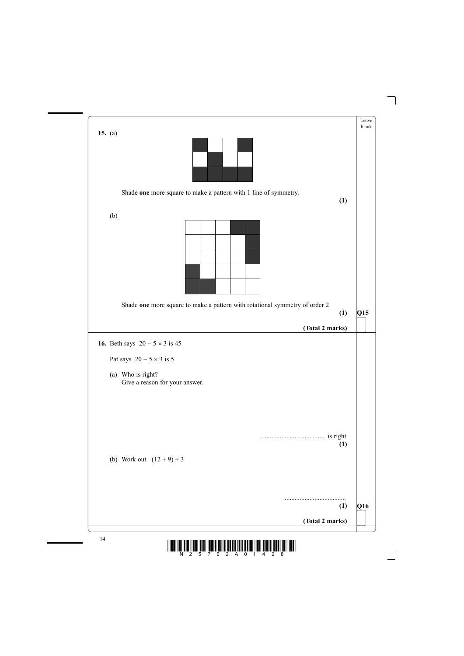



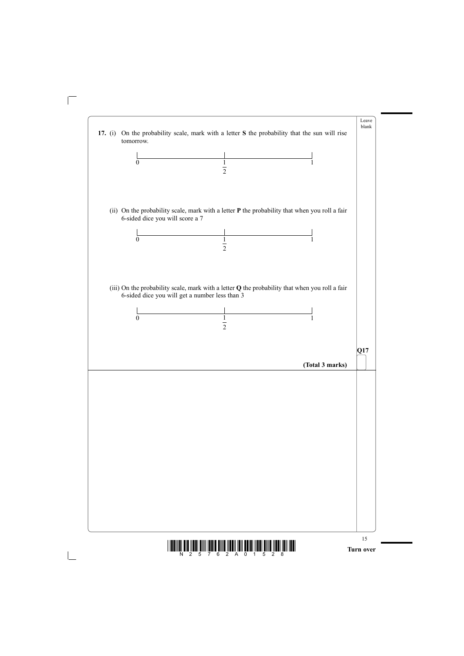

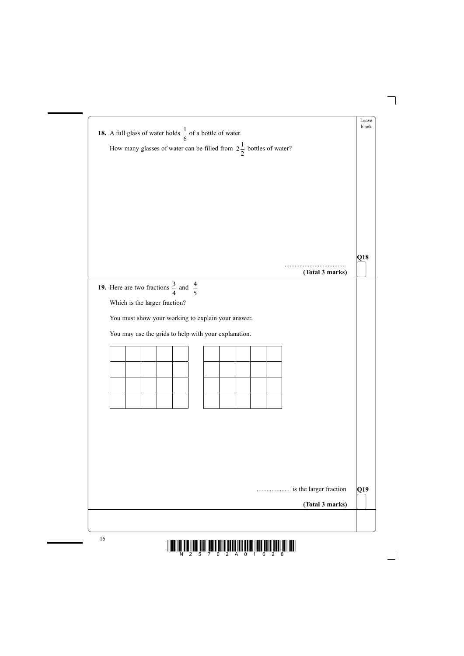



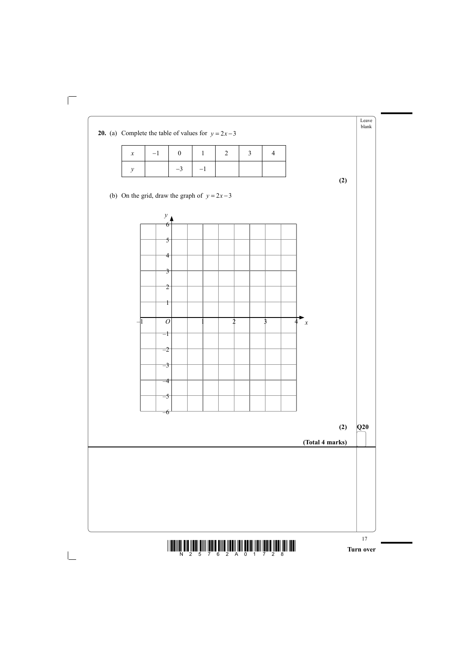

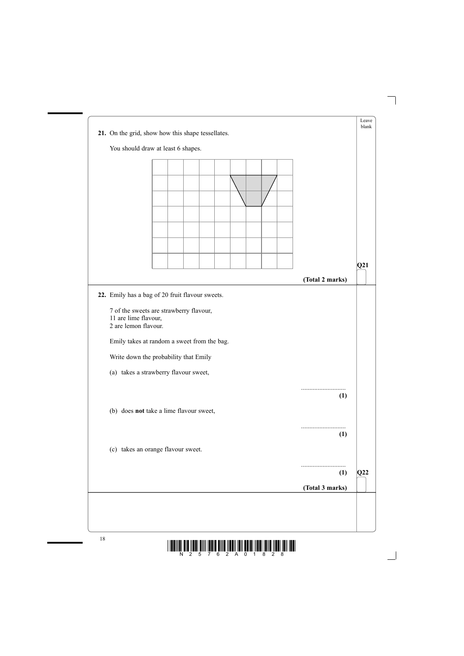

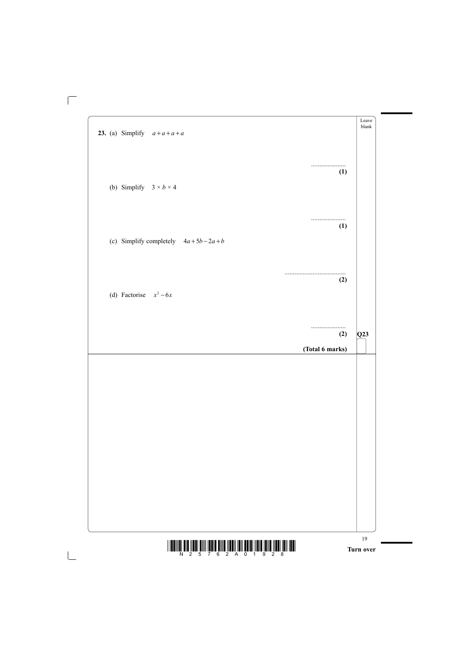

Leave blank **23.** (a) Simplify  $a+a+a+a$  ..................... **(1)** (b) Simplify  $3 \times b \times 4$  ..................... **(1)** (c) Simplify completely  $4a+5b-2a+b$  ..................................... **(2)** (d) Factorise  $x^2 - 6x$  ..................... **(2) (Total 6 marks) Q23**

 $\sqrt{\phantom{a}}$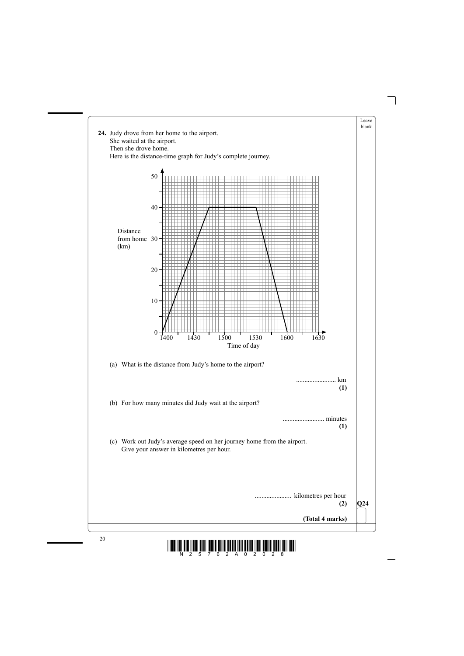



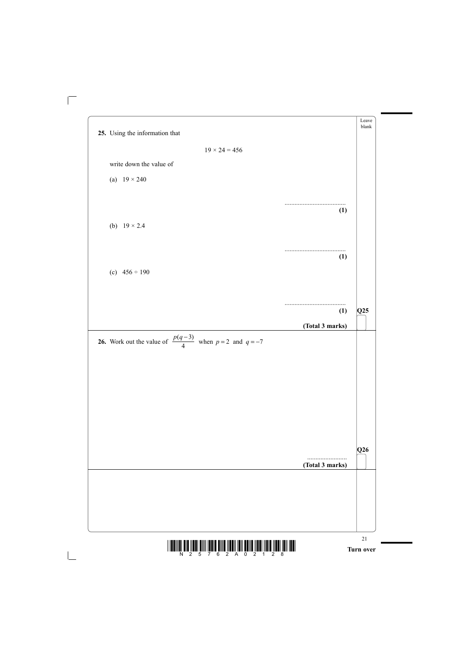

| $19 \times 24 = 456$                                                   |                 |                  |
|------------------------------------------------------------------------|-----------------|------------------|
|                                                                        |                 |                  |
| write down the value of                                                |                 |                  |
| (a) $19 \times 240$                                                    |                 |                  |
|                                                                        |                 |                  |
|                                                                        | .<br>(1)        |                  |
| (b) $19 \times 2.4$                                                    |                 |                  |
|                                                                        |                 |                  |
|                                                                        | (1)             |                  |
| (c) $456 \div 190$                                                     |                 |                  |
|                                                                        |                 |                  |
|                                                                        |                 |                  |
|                                                                        | (1)             | Q25              |
|                                                                        | (Total 3 marks) |                  |
| 26. Work out the value of $\frac{p(q-3)}{4}$ when $p = 2$ and $q = -7$ |                 |                  |
|                                                                        |                 |                  |
|                                                                        |                 |                  |
|                                                                        |                 |                  |
|                                                                        |                 |                  |
|                                                                        |                 |                  |
|                                                                        |                 |                  |
|                                                                        |                 | $\overline{Q}26$ |
|                                                                        |                 |                  |

 $\overline{\mathbb{F}}$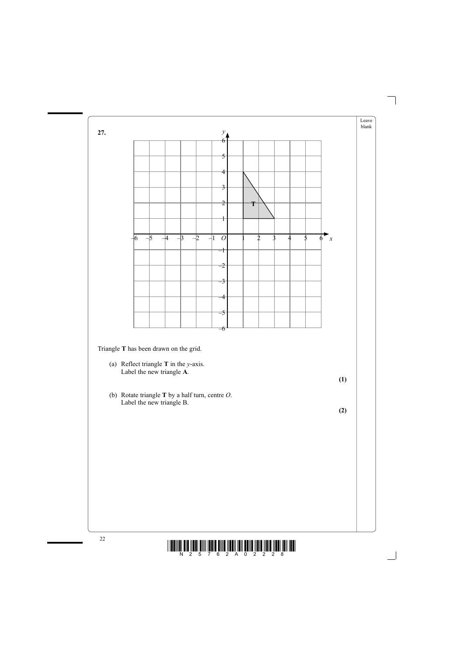



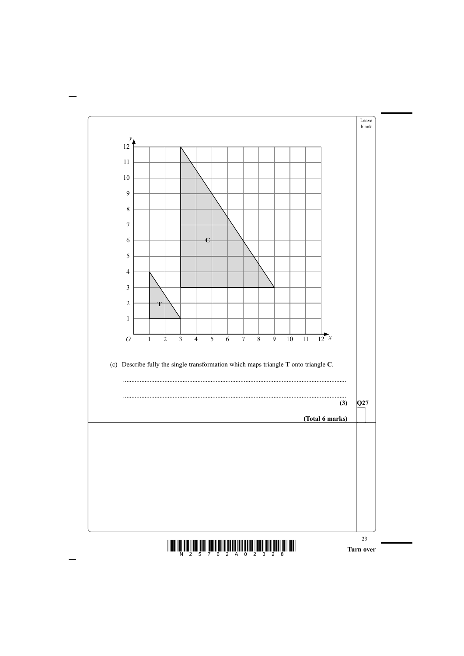

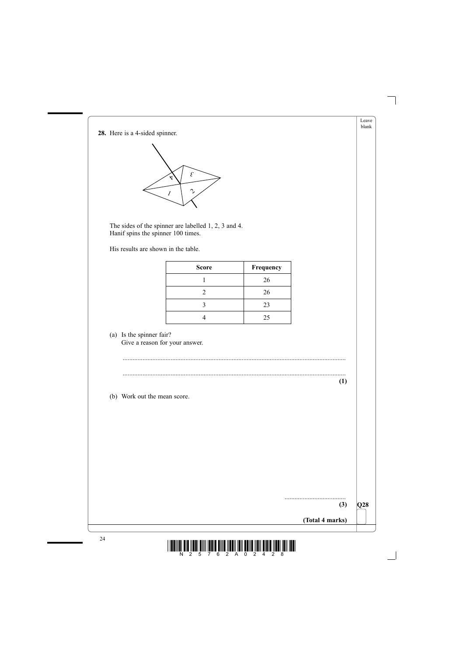



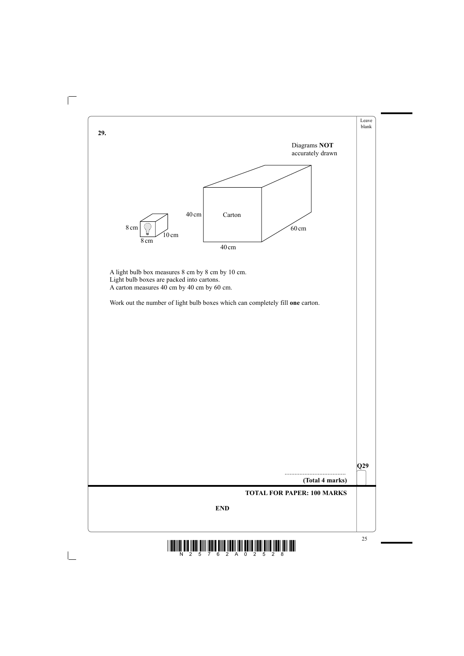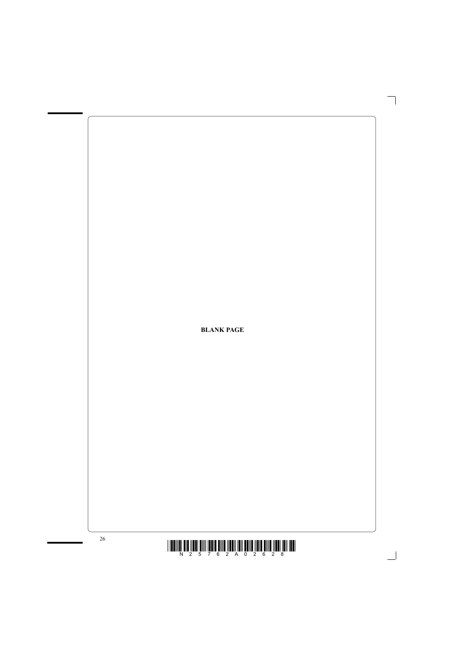

**BLANK PAGE**

 $\Box$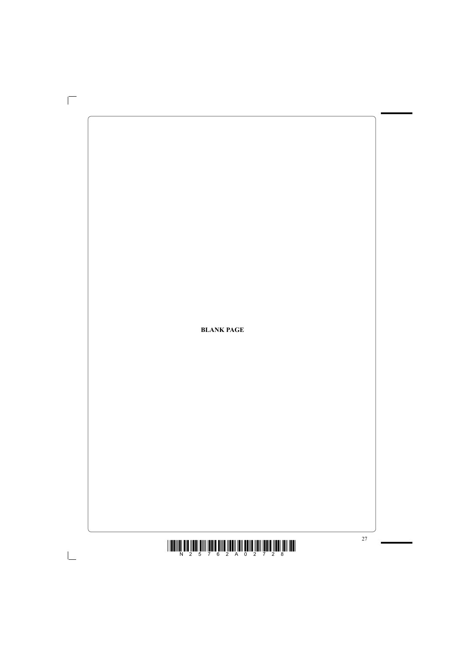

**BLANK PAGE**

 $\overline{\mathbb{F}}$